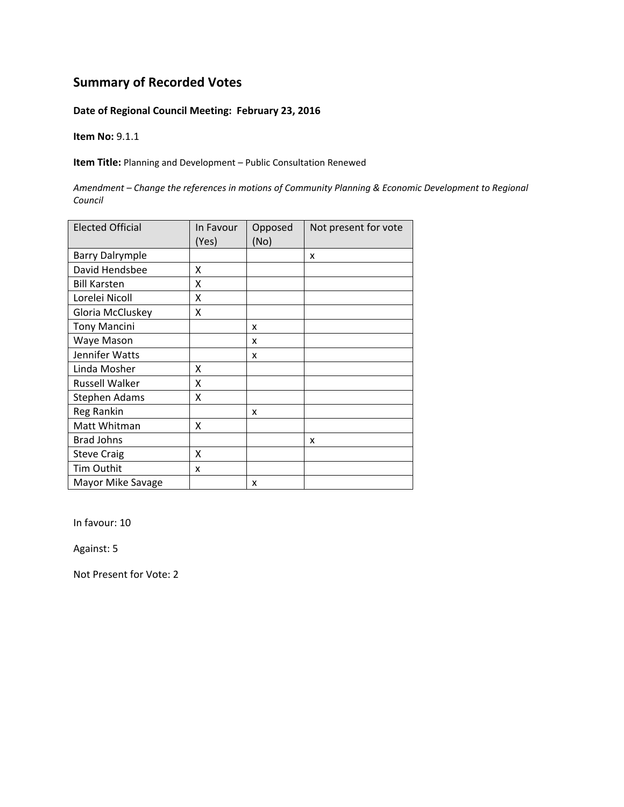#### **Date of Regional Council Meeting: February 23, 2016**

**Item No:** 9.1.1

**Item Title:** Planning and Development – Public Consultation Renewed

*Amendment – Change the references in motions of Community Planning & Economic Development to Regional Council*

| <b>Elected Official</b> | In Favour<br>(Yes) | Opposed<br>(No) | Not present for vote |
|-------------------------|--------------------|-----------------|----------------------|
| <b>Barry Dalrymple</b>  |                    |                 | x                    |
| David Hendsbee          | X                  |                 |                      |
| <b>Bill Karsten</b>     | x                  |                 |                      |
| Lorelei Nicoll          | X                  |                 |                      |
| Gloria McCluskey        | X                  |                 |                      |
| <b>Tony Mancini</b>     |                    | X               |                      |
| Waye Mason              |                    | x               |                      |
| Jennifer Watts          |                    | x               |                      |
| Linda Mosher            | x                  |                 |                      |
| <b>Russell Walker</b>   | X                  |                 |                      |
| Stephen Adams           | X                  |                 |                      |
| Reg Rankin              |                    | X               |                      |
| Matt Whitman            | x                  |                 |                      |
| <b>Brad Johns</b>       |                    |                 | x                    |
| <b>Steve Craig</b>      | X                  |                 |                      |
| <b>Tim Outhit</b>       | x                  |                 |                      |
| Mayor Mike Savage       |                    | x               |                      |

In favour: 10

Against: 5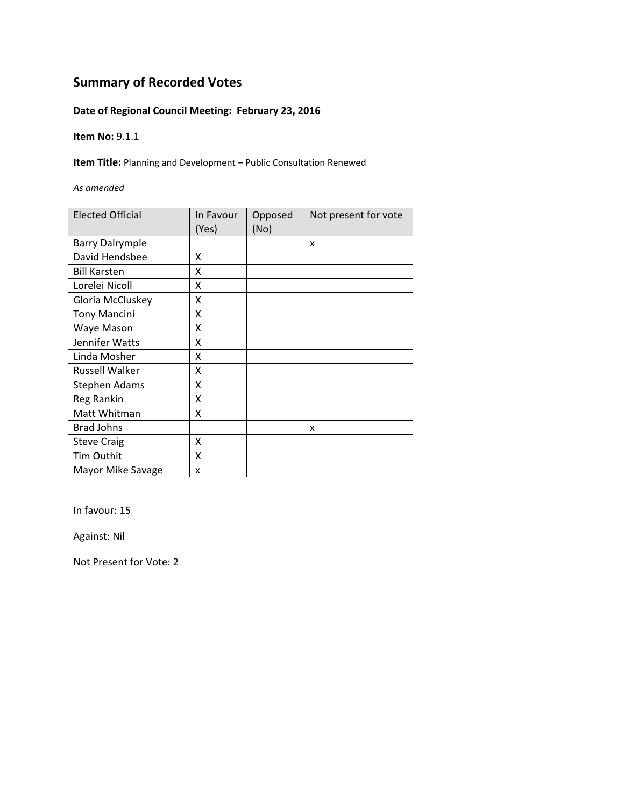### **Date of Regional Council Meeting: February 23, 2016**

**Item No:** 9.1.1

**Item Title:** Planning and Development – Public Consultation Renewed

*As amended*

| <b>Elected Official</b> | In Favour<br>(Yes) | Opposed<br>(No) | Not present for vote |
|-------------------------|--------------------|-----------------|----------------------|
| <b>Barry Dalrymple</b>  |                    |                 | x                    |
| David Hendsbee          | X                  |                 |                      |
| <b>Bill Karsten</b>     | χ                  |                 |                      |
| Lorelei Nicoll          | x                  |                 |                      |
| Gloria McCluskey        | X                  |                 |                      |
| <b>Tony Mancini</b>     | χ                  |                 |                      |
| Waye Mason              | x                  |                 |                      |
| Jennifer Watts          | Χ                  |                 |                      |
| Linda Mosher            | χ                  |                 |                      |
| <b>Russell Walker</b>   | χ                  |                 |                      |
| <b>Stephen Adams</b>    | Χ                  |                 |                      |
| Reg Rankin              | Χ                  |                 |                      |
| Matt Whitman            | Χ                  |                 |                      |
| <b>Brad Johns</b>       |                    |                 | X                    |
| <b>Steve Craig</b>      | Χ                  |                 |                      |
| Tim Outhit              | Χ                  |                 |                      |
| Mayor Mike Savage       | x                  |                 |                      |

In favour: 15

Against: Nil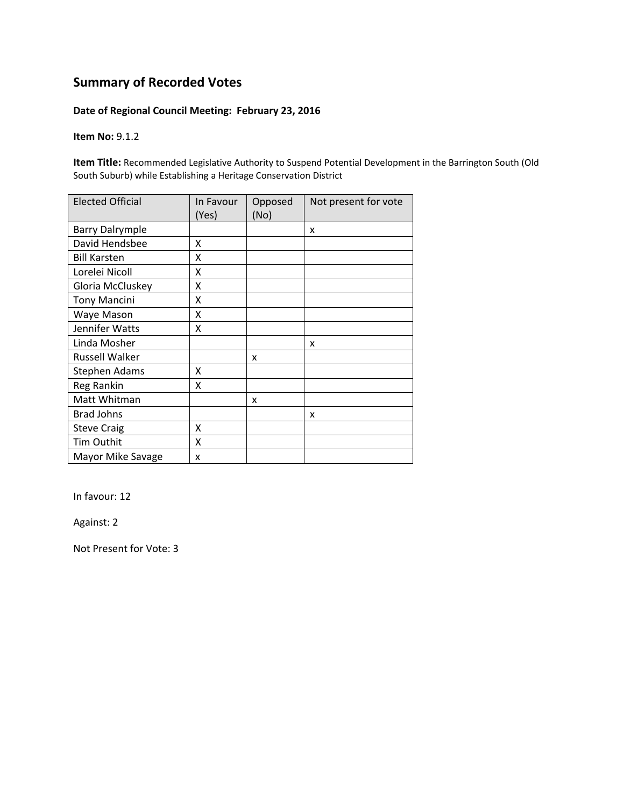#### **Date of Regional Council Meeting: February 23, 2016**

**Item No:** 9.1.2

**Item Title:** Recommended Legislative Authority to Suspend Potential Development in the Barrington South (Old South Suburb) while Establishing a Heritage Conservation District

| <b>Elected Official</b> | In Favour<br>(Yes) | Opposed<br>(No) | Not present for vote |
|-------------------------|--------------------|-----------------|----------------------|
| <b>Barry Dalrymple</b>  |                    |                 | X                    |
| David Hendsbee          | x                  |                 |                      |
| <b>Bill Karsten</b>     | X                  |                 |                      |
| Lorelei Nicoll          | X                  |                 |                      |
| Gloria McCluskey        | X                  |                 |                      |
| <b>Tony Mancini</b>     | X                  |                 |                      |
| Waye Mason              | Χ                  |                 |                      |
| Jennifer Watts          | Χ                  |                 |                      |
| Linda Mosher            |                    |                 | x                    |
| Russell Walker          |                    | x               |                      |
| Stephen Adams           | x                  |                 |                      |
| Reg Rankin              | X                  |                 |                      |
| Matt Whitman            |                    | x               |                      |
| <b>Brad Johns</b>       |                    |                 | x                    |
| <b>Steve Craig</b>      | x                  |                 |                      |
| Tim Outhit              | X                  |                 |                      |
| Mayor Mike Savage       | x                  |                 |                      |

In favour: 12

Against: 2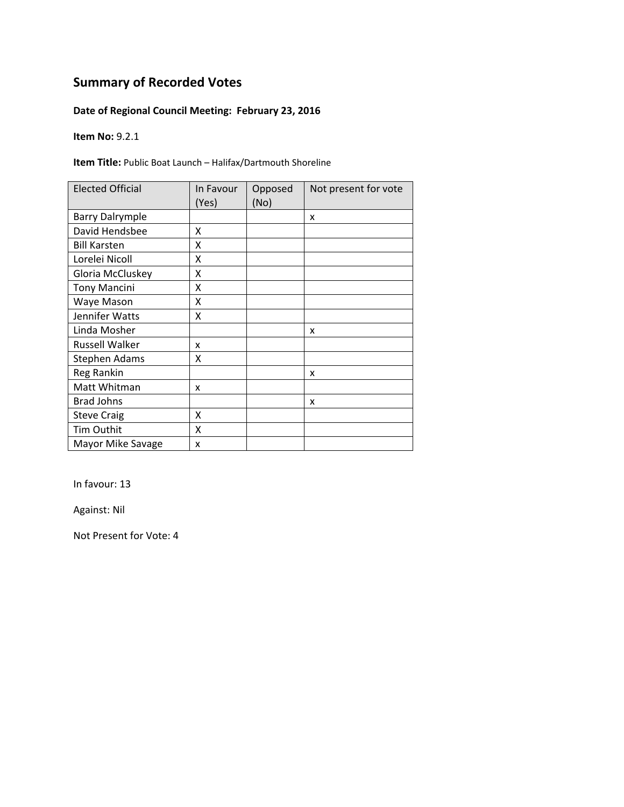### **Date of Regional Council Meeting: February 23, 2016**

**Item No:** 9.2.1

**Item Title:** Public Boat Launch – Halifax/Dartmouth Shoreline

| <b>Elected Official</b> | In Favour<br>(Yes) | Opposed<br>(No) | Not present for vote |
|-------------------------|--------------------|-----------------|----------------------|
| <b>Barry Dalrymple</b>  |                    |                 | x                    |
| David Hendsbee          | X                  |                 |                      |
| <b>Bill Karsten</b>     | X                  |                 |                      |
| Lorelei Nicoll          | X                  |                 |                      |
| Gloria McCluskey        | Χ                  |                 |                      |
| <b>Tony Mancini</b>     | Χ                  |                 |                      |
| Waye Mason              | Χ                  |                 |                      |
| Jennifer Watts          | Χ                  |                 |                      |
| Linda Mosher            |                    |                 | x                    |
| <b>Russell Walker</b>   | x                  |                 |                      |
| <b>Stephen Adams</b>    | X                  |                 |                      |
| Reg Rankin              |                    |                 | x                    |
| Matt Whitman            | x                  |                 |                      |
| <b>Brad Johns</b>       |                    |                 | x                    |
| <b>Steve Craig</b>      | X                  |                 |                      |
| Tim Outhit              | X                  |                 |                      |
| Mayor Mike Savage       | X                  |                 |                      |

In favour: 13

Against: Nil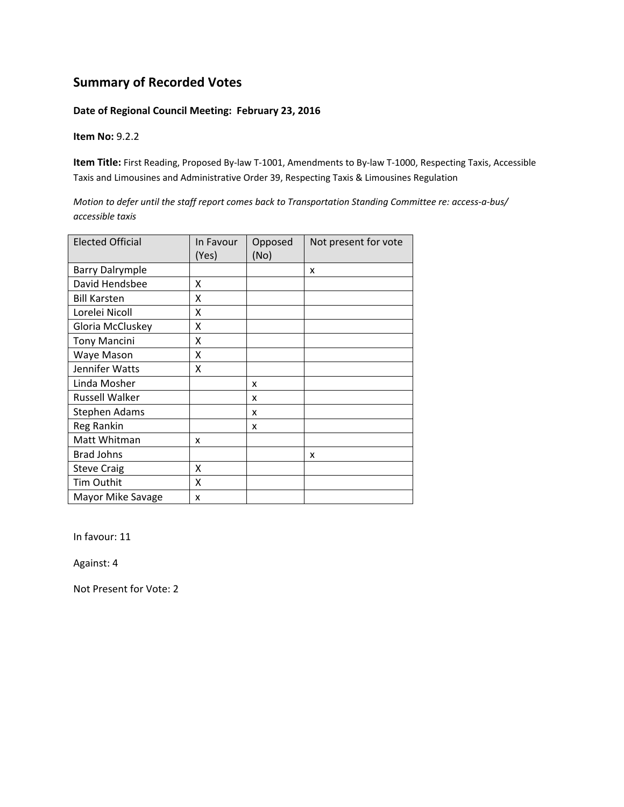#### **Date of Regional Council Meeting: February 23, 2016**

**Item No:** 9.2.2

**Item Title:** First Reading, Proposed By‐law T‐1001, Amendments to By‐law T‐1000, Respecting Taxis, Accessible Taxis and Limousines and Administrative Order 39, Respecting Taxis & Limousines Regulation

Motion to defer until the staff report comes back to Transportation Standing Committee re: access-a-bus/ *accessible taxis*

| <b>Elected Official</b> | In Favour<br>(Yes) | Opposed<br>(No) | Not present for vote |
|-------------------------|--------------------|-----------------|----------------------|
| <b>Barry Dalrymple</b>  |                    |                 | x                    |
| David Hendsbee          | X                  |                 |                      |
| <b>Bill Karsten</b>     | X                  |                 |                      |
| Lorelei Nicoll          | x                  |                 |                      |
| Gloria McCluskey        | X                  |                 |                      |
| <b>Tony Mancini</b>     | X                  |                 |                      |
| Waye Mason              | x                  |                 |                      |
| Jennifer Watts          | Χ                  |                 |                      |
| Linda Mosher            |                    | x               |                      |
| <b>Russell Walker</b>   |                    | x               |                      |
| Stephen Adams           |                    | x               |                      |
| Reg Rankin              |                    | x               |                      |
| Matt Whitman            | x                  |                 |                      |
| <b>Brad Johns</b>       |                    |                 | x                    |
| <b>Steve Craig</b>      | X                  |                 |                      |
| Tim Outhit              | x                  |                 |                      |
| Mayor Mike Savage       | x                  |                 |                      |

In favour: 11

Against: 4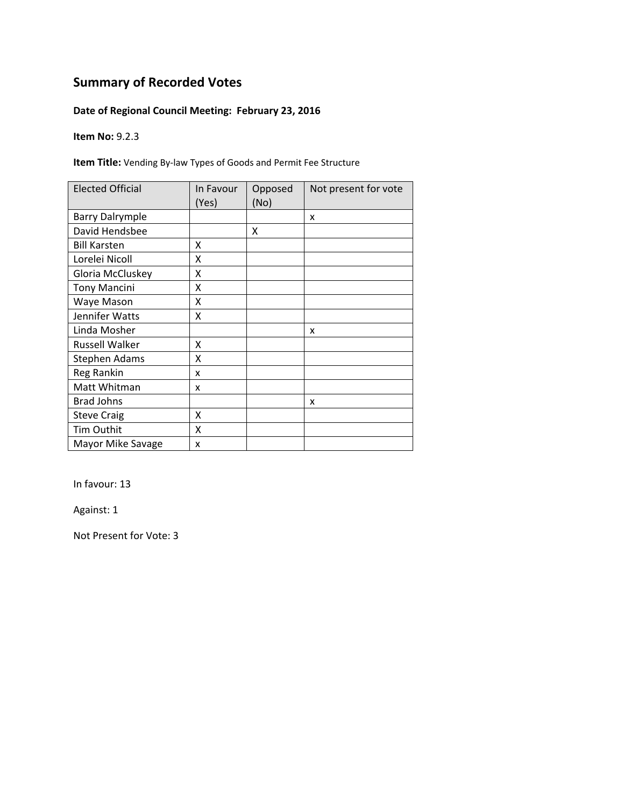### **Date of Regional Council Meeting: February 23, 2016**

**Item No:** 9.2.3

**Item Title:** Vending By‐law Types of Goods and Permit Fee Structure

| <b>Elected Official</b> | In Favour<br>(Yes) | Opposed<br>(No) | Not present for vote |
|-------------------------|--------------------|-----------------|----------------------|
| <b>Barry Dalrymple</b>  |                    |                 | x                    |
| David Hendsbee          |                    | X               |                      |
| <b>Bill Karsten</b>     | x                  |                 |                      |
| Lorelei Nicoll          | X                  |                 |                      |
| Gloria McCluskey        | Χ                  |                 |                      |
| <b>Tony Mancini</b>     | Χ                  |                 |                      |
| Waye Mason              | Χ                  |                 |                      |
| Jennifer Watts          | Χ                  |                 |                      |
| Linda Mosher            |                    |                 | x                    |
| <b>Russell Walker</b>   | χ                  |                 |                      |
| Stephen Adams           | χ                  |                 |                      |
| Reg Rankin              | x                  |                 |                      |
| Matt Whitman            | x                  |                 |                      |
| <b>Brad Johns</b>       |                    |                 | x                    |
| <b>Steve Craig</b>      | X                  |                 |                      |
| <b>Tim Outhit</b>       | Χ                  |                 |                      |
| Mayor Mike Savage       | X                  |                 |                      |

In favour: 13

Against: 1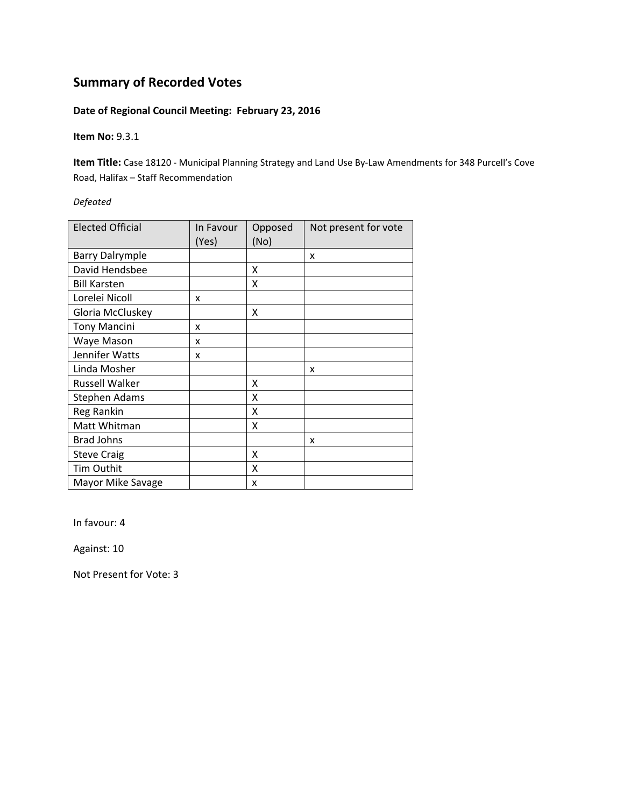### **Date of Regional Council Meeting: February 23, 2016**

**Item No:** 9.3.1

**Item Title:** Case 18120 ‐ Municipal Planning Strategy and Land Use By‐Law Amendments for 348 Purcell's Cove Road, Halifax – Staff Recommendation

*Defeated*

| <b>Elected Official</b> | In Favour<br>(Yes) | Opposed<br>(No) | Not present for vote |
|-------------------------|--------------------|-----------------|----------------------|
| <b>Barry Dalrymple</b>  |                    |                 | X                    |
| David Hendsbee          |                    | X               |                      |
| <b>Bill Karsten</b>     |                    | X               |                      |
| Lorelei Nicoll          | x                  |                 |                      |
| Gloria McCluskey        |                    | X               |                      |
| <b>Tony Mancini</b>     | x                  |                 |                      |
| Waye Mason              | x                  |                 |                      |
| Jennifer Watts          | x                  |                 |                      |
| Linda Mosher            |                    |                 | x                    |
| <b>Russell Walker</b>   |                    | X               |                      |
| <b>Stephen Adams</b>    |                    | X               |                      |
| Reg Rankin              |                    | Χ               |                      |
| Matt Whitman            |                    | X               |                      |
| <b>Brad Johns</b>       |                    |                 | x                    |
| <b>Steve Craig</b>      |                    | X               |                      |
| Tim Outhit              |                    | x               |                      |
| Mayor Mike Savage       |                    | x               |                      |

In favour: 4

Against: 10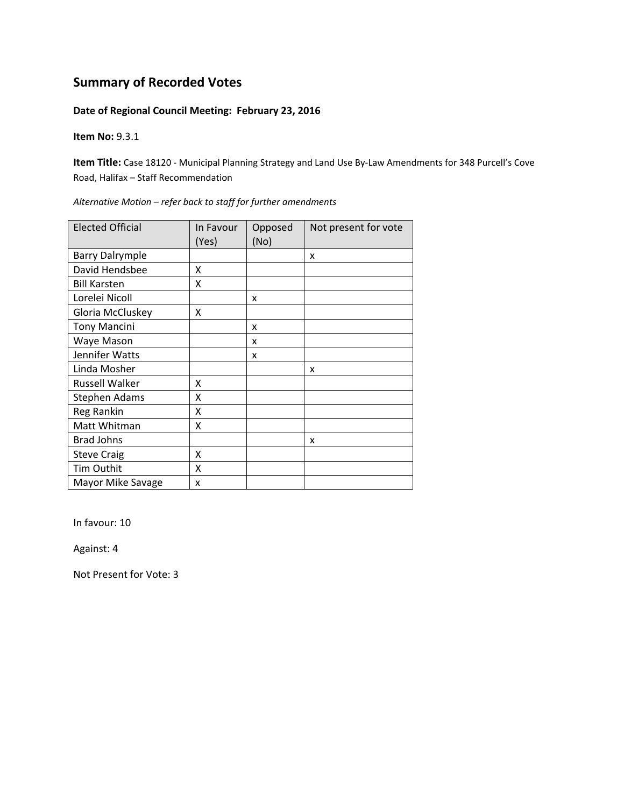#### **Date of Regional Council Meeting: February 23, 2016**

**Item No:** 9.3.1

**Item Title:** Case 18120 ‐ Municipal Planning Strategy and Land Use By‐Law Amendments for 348 Purcell's Cove Road, Halifax – Staff Recommendation

| <b>Elected Official</b> | In Favour<br>(Yes) | Opposed<br>(No) | Not present for vote |
|-------------------------|--------------------|-----------------|----------------------|
| <b>Barry Dalrymple</b>  |                    |                 | x                    |
| David Hendsbee          | x                  |                 |                      |
| <b>Bill Karsten</b>     | Χ                  |                 |                      |
| Lorelei Nicoll          |                    | x               |                      |
| Gloria McCluskey        | Χ                  |                 |                      |
| <b>Tony Mancini</b>     |                    | x               |                      |
| Waye Mason              |                    | x               |                      |
| Jennifer Watts          |                    | x               |                      |
| Linda Mosher            |                    |                 | x                    |
| Russell Walker          | X                  |                 |                      |
| Stephen Adams           | x                  |                 |                      |
| Reg Rankin              | x                  |                 |                      |
| Matt Whitman            | x                  |                 |                      |
| <b>Brad Johns</b>       |                    |                 | x                    |
| <b>Steve Craig</b>      | Χ                  |                 |                      |
| Tim Outhit              | Χ                  |                 |                      |
| Mayor Mike Savage       | x                  |                 |                      |

*Alternative Motion – refer back to staff for further amendments*

In favour: 10

Against: 4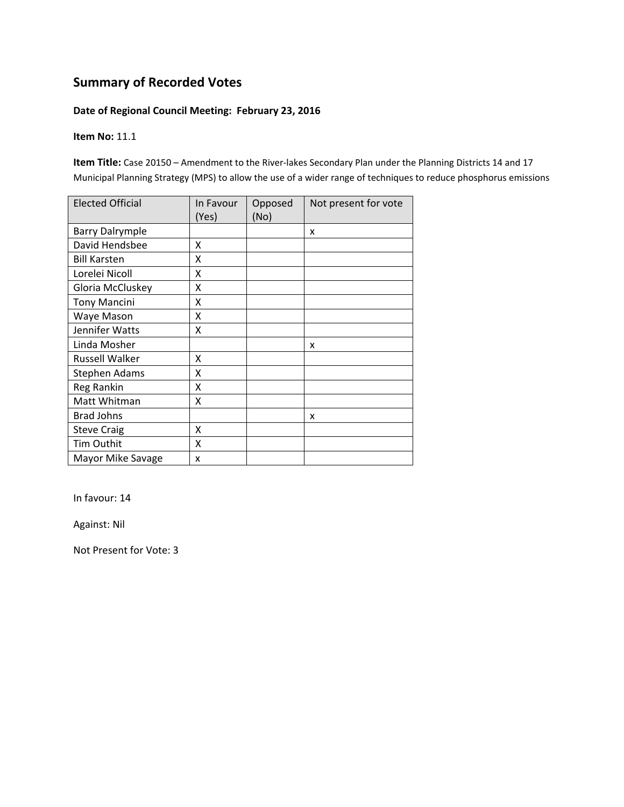#### **Date of Regional Council Meeting: February 23, 2016**

#### **Item No:** 11.1

**Item Title:** Case 20150 – Amendment to the River‐lakes Secondary Plan under the Planning Districts 14 and 17 Municipal Planning Strategy (MPS) to allow the use of a wider range of techniques to reduce phosphorus emissions

| <b>Elected Official</b> | In Favour<br>(Yes) | Opposed<br>(No) | Not present for vote |
|-------------------------|--------------------|-----------------|----------------------|
| <b>Barry Dalrymple</b>  |                    |                 | x                    |
| David Hendsbee          | X                  |                 |                      |
| <b>Bill Karsten</b>     | Χ                  |                 |                      |
| Lorelei Nicoll          | X                  |                 |                      |
| Gloria McCluskey        | Χ                  |                 |                      |
| <b>Tony Mancini</b>     | Χ                  |                 |                      |
| Waye Mason              | Χ                  |                 |                      |
| Jennifer Watts          | Χ                  |                 |                      |
| Linda Mosher            |                    |                 | x                    |
| Russell Walker          | x                  |                 |                      |
| <b>Stephen Adams</b>    | Χ                  |                 |                      |
| Reg Rankin              | X                  |                 |                      |
| Matt Whitman            | Χ                  |                 |                      |
| <b>Brad Johns</b>       |                    |                 | x                    |
| <b>Steve Craig</b>      | X                  |                 |                      |
| Tim Outhit              | Χ                  |                 |                      |
| Mayor Mike Savage       | x                  |                 |                      |

In favour: 14

Against: Nil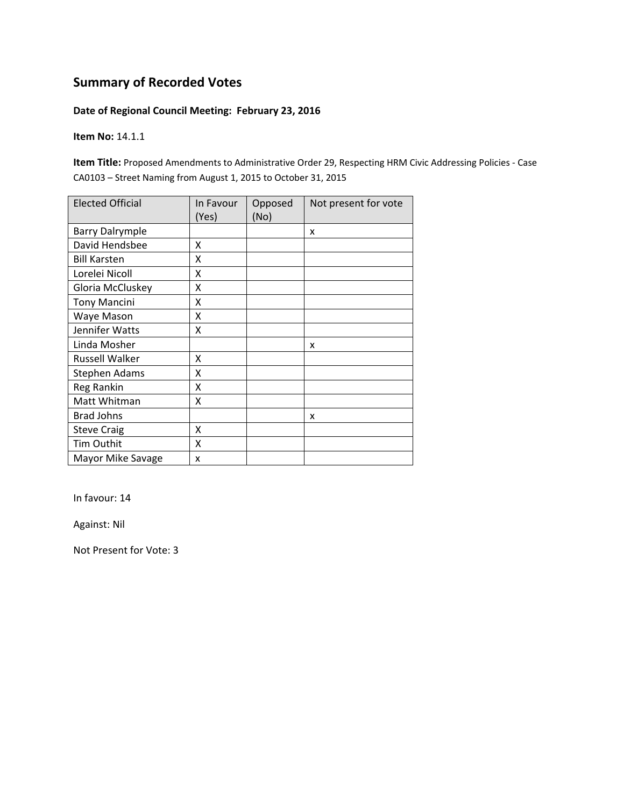#### **Date of Regional Council Meeting: February 23, 2016**

**Item No:** 14.1.1

**Item Title:** Proposed Amendments to Administrative Order 29, Respecting HRM Civic Addressing Policies ‐ Case CA0103 – Street Naming from August 1, 2015 to October 31, 2015

| <b>Elected Official</b> | In Favour<br>(Yes) | Opposed<br>(No) | Not present for vote |
|-------------------------|--------------------|-----------------|----------------------|
| <b>Barry Dalrymple</b>  |                    |                 | X                    |
| David Hendsbee          | x                  |                 |                      |
| <b>Bill Karsten</b>     | X                  |                 |                      |
| Lorelei Nicoll          | X                  |                 |                      |
| Gloria McCluskey        | X                  |                 |                      |
| <b>Tony Mancini</b>     | Χ                  |                 |                      |
| Waye Mason              | Χ                  |                 |                      |
| Jennifer Watts          | X                  |                 |                      |
| Linda Mosher            |                    |                 | X                    |
| Russell Walker          | X                  |                 |                      |
| Stephen Adams           | X                  |                 |                      |
| Reg Rankin              | X                  |                 |                      |
| Matt Whitman            | X                  |                 |                      |
| <b>Brad Johns</b>       |                    |                 | x                    |
| <b>Steve Craig</b>      | X                  |                 |                      |
| Tim Outhit              | X                  |                 |                      |
| Mayor Mike Savage       | x                  |                 |                      |

In favour: 14

Against: Nil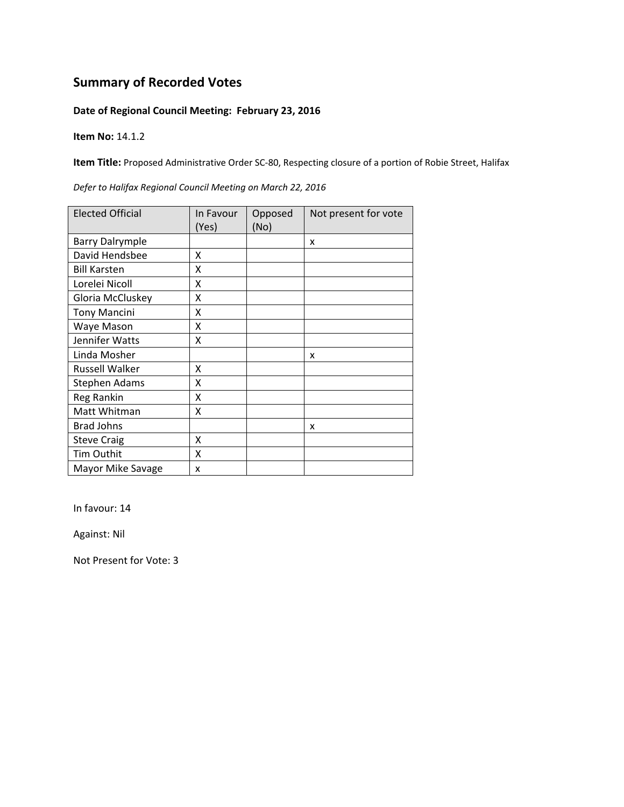#### **Date of Regional Council Meeting: February 23, 2016**

**Item No:** 14.1.2

**Item Title:** Proposed Administrative Order SC‐80, Respecting closure of a portion of Robie Street, Halifax

| <b>Elected Official</b> | In Favour<br>(Yes) | Opposed<br>(No) | Not present for vote |
|-------------------------|--------------------|-----------------|----------------------|
| <b>Barry Dalrymple</b>  |                    |                 | X                    |
| David Hendsbee          | x                  |                 |                      |
| <b>Bill Karsten</b>     | X                  |                 |                      |
| Lorelei Nicoll          | X                  |                 |                      |
| Gloria McCluskey        | Χ                  |                 |                      |
| <b>Tony Mancini</b>     | Χ                  |                 |                      |
| Waye Mason              | x                  |                 |                      |
| Jennifer Watts          | x                  |                 |                      |
| Linda Mosher            |                    |                 | x                    |
| Russell Walker          | X                  |                 |                      |
| Stephen Adams           | X                  |                 |                      |
| Reg Rankin              | X                  |                 |                      |
| Matt Whitman            | X                  |                 |                      |
| <b>Brad Johns</b>       |                    |                 | x                    |
| <b>Steve Craig</b>      | X                  |                 |                      |
| <b>Tim Outhit</b>       | X                  |                 |                      |
| Mayor Mike Savage       | x                  |                 |                      |

*Defer to Halifax Regional Council Meeting on March 22, 2016*

In favour: 14

Against: Nil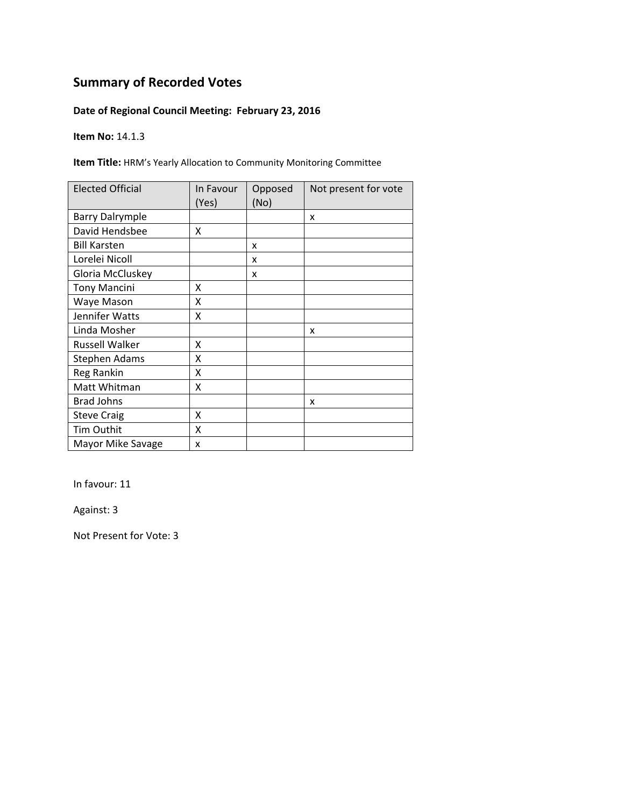### **Date of Regional Council Meeting: February 23, 2016**

**Item No:** 14.1.3

**Item Title:** HRM's Yearly Allocation to Community Monitoring Committee

| <b>Elected Official</b> | In Favour<br>(Yes) | Opposed<br>(No) | Not present for vote |
|-------------------------|--------------------|-----------------|----------------------|
| <b>Barry Dalrymple</b>  |                    |                 | x                    |
| David Hendsbee          | X                  |                 |                      |
| <b>Bill Karsten</b>     |                    | X               |                      |
| Lorelei Nicoll          |                    | x               |                      |
| Gloria McCluskey        |                    | x               |                      |
| <b>Tony Mancini</b>     | X                  |                 |                      |
| Waye Mason              | Χ                  |                 |                      |
| Jennifer Watts          | Χ                  |                 |                      |
| Linda Mosher            |                    |                 | x                    |
| Russell Walker          | x                  |                 |                      |
| Stephen Adams           | X                  |                 |                      |
| Reg Rankin              | X                  |                 |                      |
| Matt Whitman            | Χ                  |                 |                      |
| <b>Brad Johns</b>       |                    |                 | x                    |
| <b>Steve Craig</b>      | x                  |                 |                      |
| Tim Outhit              | X                  |                 |                      |
| Mayor Mike Savage       | x                  |                 |                      |

In favour: 11

Against: 3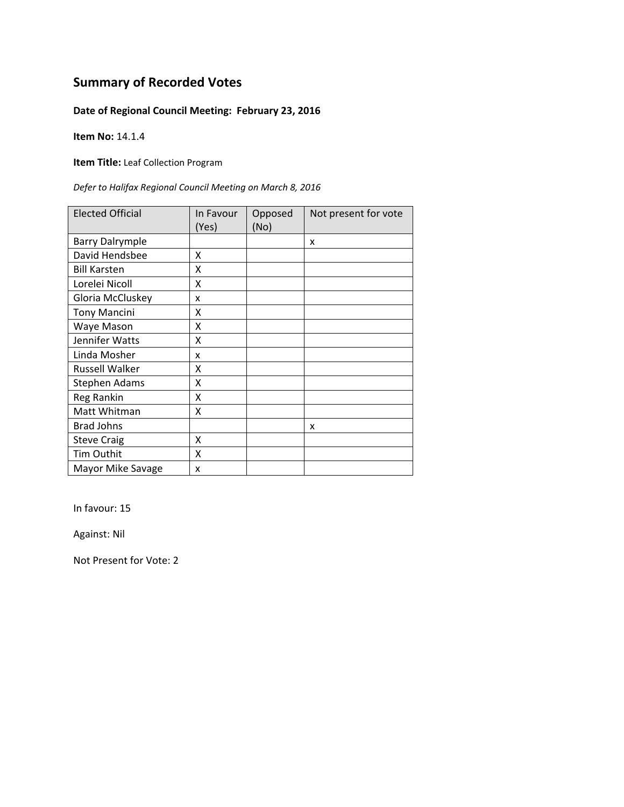### **Date of Regional Council Meeting: February 23, 2016**

**Item No:** 14.1.4

**Item Title:** Leaf Collection Program

*Defer to Halifax Regional Council Meeting on March 8, 2016*

| <b>Elected Official</b> | In Favour<br>(Yes) | Opposed<br>(No) | Not present for vote |
|-------------------------|--------------------|-----------------|----------------------|
| <b>Barry Dalrymple</b>  |                    |                 | x                    |
| David Hendsbee          | X                  |                 |                      |
| <b>Bill Karsten</b>     | X                  |                 |                      |
| Lorelei Nicoll          | X                  |                 |                      |
| Gloria McCluskey        | x                  |                 |                      |
| <b>Tony Mancini</b>     | X                  |                 |                      |
| Waye Mason              | Χ                  |                 |                      |
| Jennifer Watts          | Χ                  |                 |                      |
| Linda Mosher            | x                  |                 |                      |
| <b>Russell Walker</b>   | x                  |                 |                      |
| Stephen Adams           | x                  |                 |                      |
| Reg Rankin              | X                  |                 |                      |
| Matt Whitman            | x                  |                 |                      |
| <b>Brad Johns</b>       |                    |                 | x                    |
| <b>Steve Craig</b>      | X                  |                 |                      |
| Tim Outhit              | Χ                  |                 |                      |
| Mayor Mike Savage       | x                  |                 |                      |

In favour: 15

Against: Nil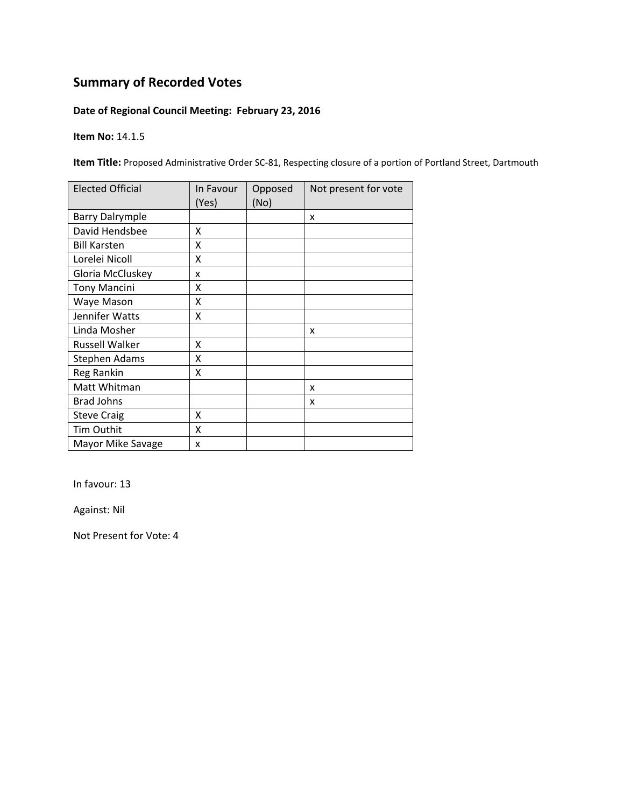### **Date of Regional Council Meeting: February 23, 2016**

**Item No:** 14.1.5

**Item Title:** Proposed Administrative Order SC‐81, Respecting closure of a portion of Portland Street, Dartmouth

| <b>Elected Official</b> | In Favour<br>(Yes) | Opposed<br>(No) | Not present for vote |
|-------------------------|--------------------|-----------------|----------------------|
| <b>Barry Dalrymple</b>  |                    |                 | X                    |
| David Hendsbee          | x                  |                 |                      |
| <b>Bill Karsten</b>     | x                  |                 |                      |
| Lorelei Nicoll          | X                  |                 |                      |
| Gloria McCluskey        | x                  |                 |                      |
| <b>Tony Mancini</b>     | Χ                  |                 |                      |
| Waye Mason              | x                  |                 |                      |
| Jennifer Watts          | x                  |                 |                      |
| Linda Mosher            |                    |                 | X                    |
| Russell Walker          | X                  |                 |                      |
| <b>Stephen Adams</b>    | X                  |                 |                      |
| Reg Rankin              | Χ                  |                 |                      |
| Matt Whitman            |                    |                 | x                    |
| <b>Brad Johns</b>       |                    |                 | x                    |
| <b>Steve Craig</b>      | Χ                  |                 |                      |
| Tim Outhit              | Χ                  |                 |                      |
| Mayor Mike Savage       | X                  |                 |                      |

In favour: 13

Against: Nil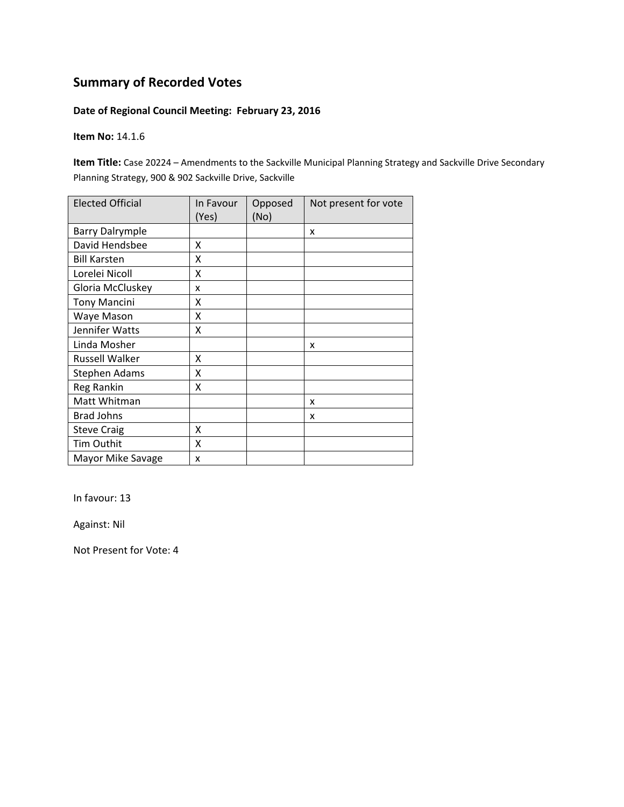#### **Date of Regional Council Meeting: February 23, 2016**

**Item No:** 14.1.6

**Item Title:** Case 20224 – Amendments to the Sackville Municipal Planning Strategy and Sackville Drive Secondary Planning Strategy, 900 & 902 Sackville Drive, Sackville

| <b>Elected Official</b> | In Favour<br>(Yes) | Opposed<br>(No) | Not present for vote |
|-------------------------|--------------------|-----------------|----------------------|
| <b>Barry Dalrymple</b>  |                    |                 | X                    |
| David Hendsbee          | X                  |                 |                      |
| <b>Bill Karsten</b>     | X                  |                 |                      |
| Lorelei Nicoll          | X                  |                 |                      |
| Gloria McCluskey        | x                  |                 |                      |
| <b>Tony Mancini</b>     | x                  |                 |                      |
| Waye Mason              | x                  |                 |                      |
| Jennifer Watts          | X                  |                 |                      |
| Linda Mosher            |                    |                 | x                    |
| Russell Walker          | X                  |                 |                      |
| Stephen Adams           | x                  |                 |                      |
| Reg Rankin              | χ                  |                 |                      |
| Matt Whitman            |                    |                 | x                    |
| <b>Brad Johns</b>       |                    |                 | x                    |
| <b>Steve Craig</b>      | X                  |                 |                      |
| Tim Outhit              | X                  |                 |                      |
| Mayor Mike Savage       | x                  |                 |                      |

In favour: 13

Against: Nil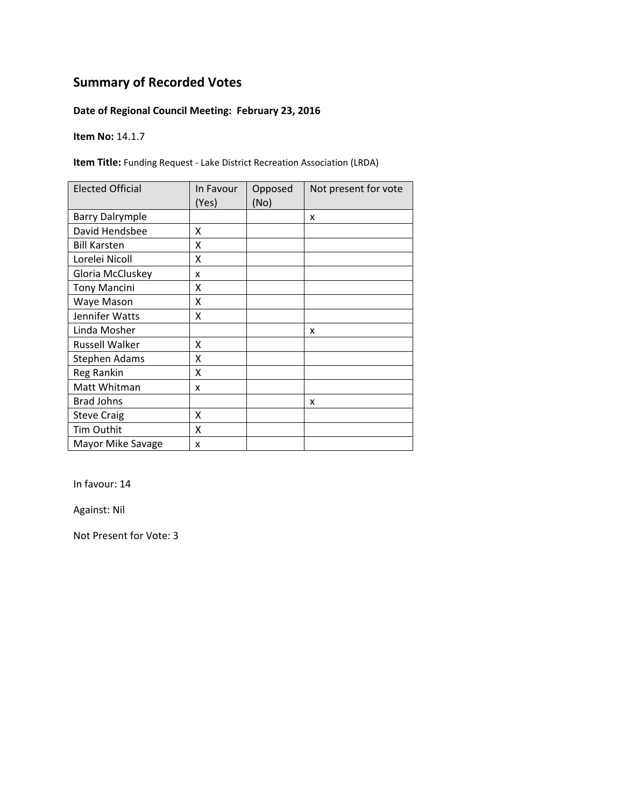### **Date of Regional Council Meeting: February 23, 2016**

**Item No:** 14.1.7

**Item Title:** Funding Request ‐ Lake District Recreation Association (LRDA)

| <b>Elected Official</b> | In Favour<br>(Yes) | Opposed<br>(No) | Not present for vote |
|-------------------------|--------------------|-----------------|----------------------|
| <b>Barry Dalrymple</b>  |                    |                 | X                    |
| David Hendsbee          | x                  |                 |                      |
| <b>Bill Karsten</b>     | X                  |                 |                      |
| Lorelei Nicoll          | X                  |                 |                      |
| Gloria McCluskey        | x                  |                 |                      |
| <b>Tony Mancini</b>     | Χ                  |                 |                      |
| Waye Mason              | X                  |                 |                      |
| Jennifer Watts          | X                  |                 |                      |
| Linda Mosher            |                    |                 | X                    |
| <b>Russell Walker</b>   | x                  |                 |                      |
| Stephen Adams           | X                  |                 |                      |
| Reg Rankin              | X                  |                 |                      |
| Matt Whitman            | x                  |                 |                      |
| <b>Brad Johns</b>       |                    |                 | x                    |
| <b>Steve Craig</b>      | x                  |                 |                      |
| Tim Outhit              | X                  |                 |                      |
| Mayor Mike Savage       | x                  |                 |                      |

In favour: 14

Against: Nil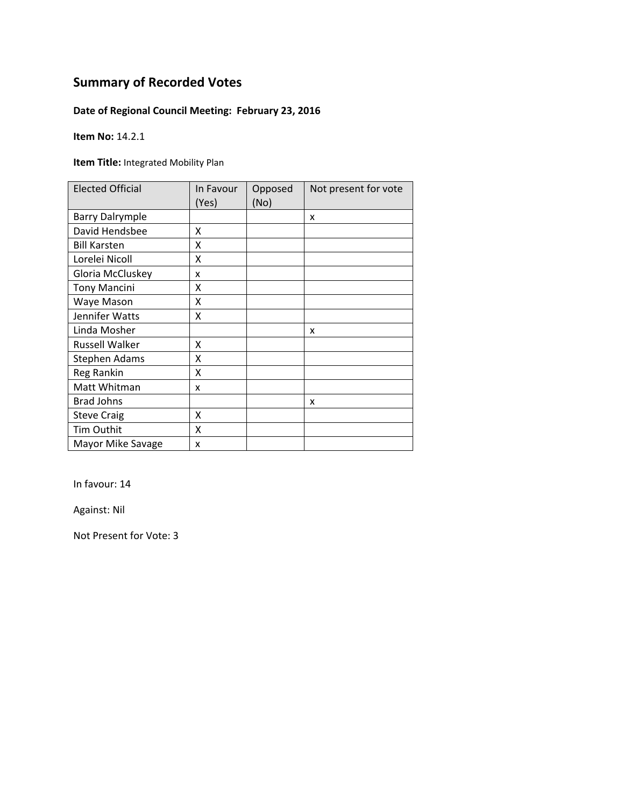### **Date of Regional Council Meeting: February 23, 2016**

**Item No:** 14.2.1

**Item Title:** Integrated Mobility Plan

| <b>Elected Official</b> | In Favour<br>(Yes) | Opposed<br>(No) | Not present for vote |
|-------------------------|--------------------|-----------------|----------------------|
| <b>Barry Dalrymple</b>  |                    |                 | x                    |
| David Hendsbee          | X                  |                 |                      |
| <b>Bill Karsten</b>     | X                  |                 |                      |
| Lorelei Nicoll          | X                  |                 |                      |
| Gloria McCluskey        | X                  |                 |                      |
| <b>Tony Mancini</b>     | x                  |                 |                      |
| Waye Mason              | Χ                  |                 |                      |
| Jennifer Watts          | Χ                  |                 |                      |
| Linda Mosher            |                    |                 | x                    |
| <b>Russell Walker</b>   | x                  |                 |                      |
| <b>Stephen Adams</b>    | Χ                  |                 |                      |
| Reg Rankin              | X                  |                 |                      |
| Matt Whitman            | x                  |                 |                      |
| <b>Brad Johns</b>       |                    |                 | x                    |
| <b>Steve Craig</b>      | X                  |                 |                      |
| Tim Outhit              | X                  |                 |                      |
| Mayor Mike Savage       | X                  |                 |                      |

In favour: 14

Against: Nil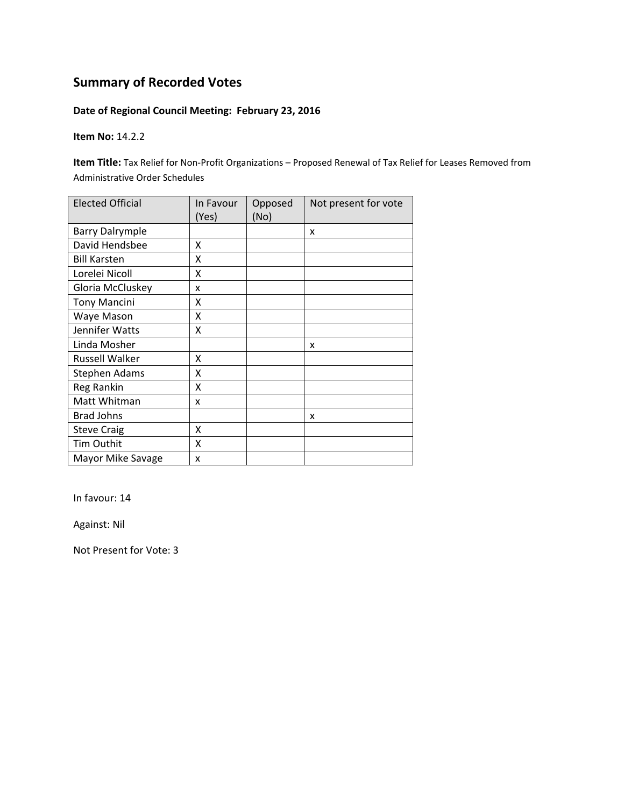### **Date of Regional Council Meeting: February 23, 2016**

**Item No:** 14.2.2

**Item Title:** Tax Relief for Non‐Profit Organizations – Proposed Renewal of Tax Relief for Leases Removed from Administrative Order Schedules

| <b>Elected Official</b> | In Favour<br>(Yes) | Opposed<br>(No) | Not present for vote |
|-------------------------|--------------------|-----------------|----------------------|
| <b>Barry Dalrymple</b>  |                    |                 | x                    |
| David Hendsbee          | x                  |                 |                      |
| <b>Bill Karsten</b>     | X                  |                 |                      |
| Lorelei Nicoll          | Χ                  |                 |                      |
| Gloria McCluskey        | x                  |                 |                      |
| <b>Tony Mancini</b>     | X                  |                 |                      |
| Waye Mason              | Χ                  |                 |                      |
| Jennifer Watts          | Χ                  |                 |                      |
| Linda Mosher            |                    |                 | X                    |
| <b>Russell Walker</b>   | X                  |                 |                      |
| <b>Stephen Adams</b>    | Χ                  |                 |                      |
| Reg Rankin              | Χ                  |                 |                      |
| Matt Whitman            | x                  |                 |                      |
| <b>Brad Johns</b>       |                    |                 | x                    |
| <b>Steve Craig</b>      | X                  |                 |                      |
| Tim Outhit              | X                  |                 |                      |
| Mayor Mike Savage       | x                  |                 |                      |

In favour: 14

Against: Nil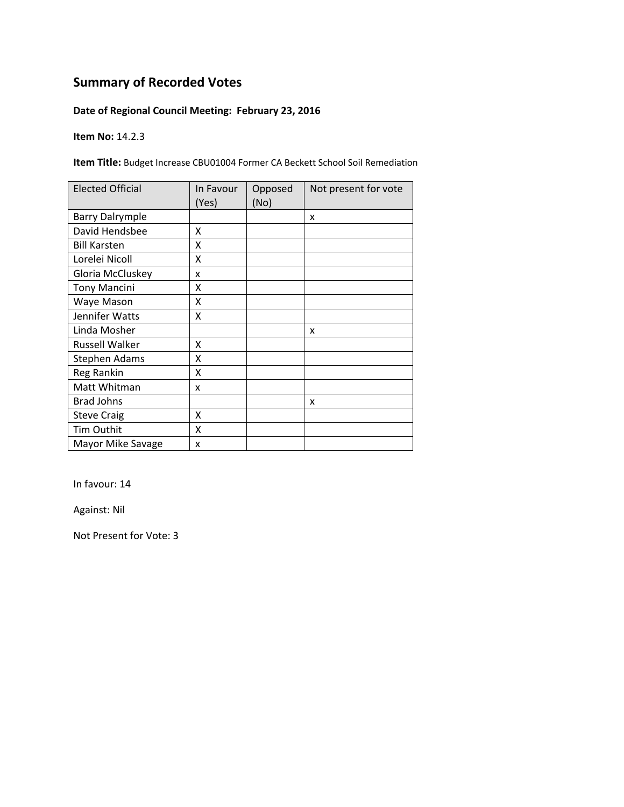### **Date of Regional Council Meeting: February 23, 2016**

**Item No:** 14.2.3

**Item Title:** Budget Increase CBU01004 Former CA Beckett School Soil Remediation

| <b>Elected Official</b> | In Favour<br>(Yes) | Opposed<br>(No) | Not present for vote |
|-------------------------|--------------------|-----------------|----------------------|
| <b>Barry Dalrymple</b>  |                    |                 | X                    |
| David Hendsbee          | χ                  |                 |                      |
| <b>Bill Karsten</b>     | χ                  |                 |                      |
| Lorelei Nicoll          | X                  |                 |                      |
| Gloria McCluskey        | x                  |                 |                      |
| <b>Tony Mancini</b>     | Χ                  |                 |                      |
| Waye Mason              | Χ                  |                 |                      |
| Jennifer Watts          | Χ                  |                 |                      |
| Linda Mosher            |                    |                 | x                    |
| Russell Walker          | x                  |                 |                      |
| Stephen Adams           | X                  |                 |                      |
| Reg Rankin              | X                  |                 |                      |
| Matt Whitman            | x                  |                 |                      |
| <b>Brad Johns</b>       |                    |                 | x                    |
| <b>Steve Craig</b>      | X                  |                 |                      |
| Tim Outhit              | Χ                  |                 |                      |
| Mayor Mike Savage       | X                  |                 |                      |

In favour: 14

Against: Nil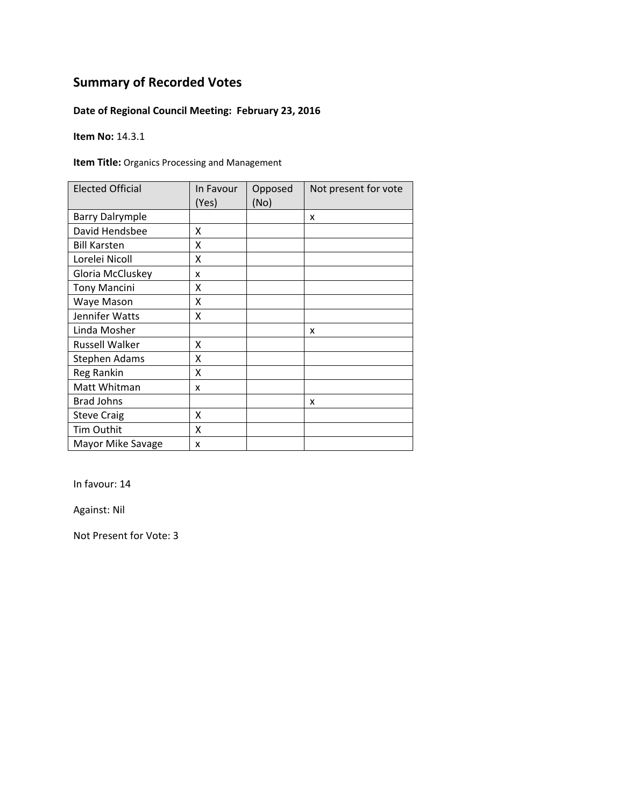### **Date of Regional Council Meeting: February 23, 2016**

**Item No:** 14.3.1

**Item Title:** Organics Processing and Management

| <b>Elected Official</b> | In Favour<br>(Yes) | Opposed<br>(No) | Not present for vote |
|-------------------------|--------------------|-----------------|----------------------|
| <b>Barry Dalrymple</b>  |                    |                 | x                    |
| David Hendsbee          | X                  |                 |                      |
| <b>Bill Karsten</b>     | X                  |                 |                      |
| Lorelei Nicoll          | X                  |                 |                      |
| Gloria McCluskey        | X                  |                 |                      |
| <b>Tony Mancini</b>     | x                  |                 |                      |
| Waye Mason              | Χ                  |                 |                      |
| Jennifer Watts          | Χ                  |                 |                      |
| Linda Mosher            |                    |                 | x                    |
| <b>Russell Walker</b>   | x                  |                 |                      |
| <b>Stephen Adams</b>    | Χ                  |                 |                      |
| Reg Rankin              | X                  |                 |                      |
| Matt Whitman            | x                  |                 |                      |
| <b>Brad Johns</b>       |                    |                 | x                    |
| <b>Steve Craig</b>      | X                  |                 |                      |
| Tim Outhit              | X                  |                 |                      |
| Mayor Mike Savage       | X                  |                 |                      |

In favour: 14

Against: Nil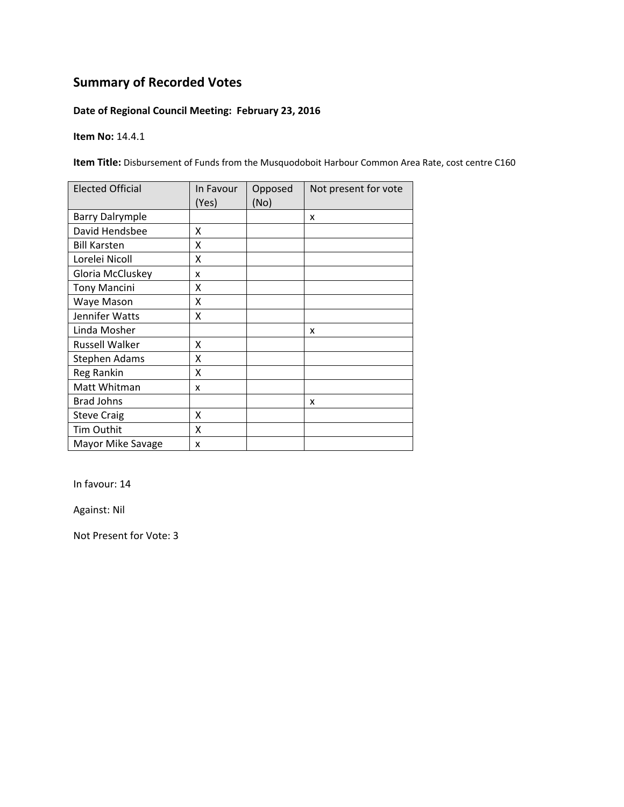### **Date of Regional Council Meeting: February 23, 2016**

**Item No:** 14.4.1

**Item Title:** Disbursement of Funds from the Musquodoboit Harbour Common Area Rate, cost centre C160

| <b>Elected Official</b> | In Favour<br>(Yes) | Opposed<br>(No) | Not present for vote |
|-------------------------|--------------------|-----------------|----------------------|
| <b>Barry Dalrymple</b>  |                    |                 | X                    |
| David Hendsbee          | x                  |                 |                      |
| <b>Bill Karsten</b>     | x                  |                 |                      |
| Lorelei Nicoll          | Χ                  |                 |                      |
| Gloria McCluskey        | x                  |                 |                      |
| <b>Tony Mancini</b>     | x                  |                 |                      |
| Waye Mason              | Χ                  |                 |                      |
| Jennifer Watts          | x                  |                 |                      |
| Linda Mosher            |                    |                 | x                    |
| Russell Walker          | x                  |                 |                      |
| Stephen Adams           | X                  |                 |                      |
| Reg Rankin              | X                  |                 |                      |
| Matt Whitman            | x                  |                 |                      |
| <b>Brad Johns</b>       |                    |                 | x                    |
| <b>Steve Craig</b>      | x                  |                 |                      |
| Tim Outhit              | X                  |                 |                      |
| Mayor Mike Savage       | X                  |                 |                      |

In favour: 14

Against: Nil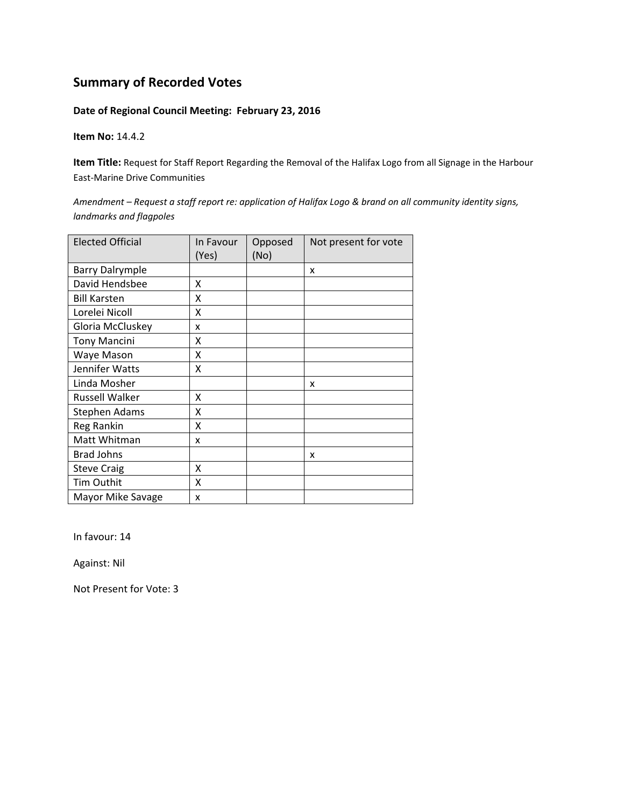#### **Date of Regional Council Meeting: February 23, 2016**

**Item No:** 14.4.2

**Item Title:** Request for Staff Report Regarding the Removal of the Halifax Logo from all Signage in the Harbour East‐Marine Drive Communities

Amendment - Request a staff report re: application of Halifax Logo & brand on all community identity signs, *landmarks and flagpoles*

| <b>Elected Official</b> | In Favour<br>(Yes) | Opposed<br>(No) | Not present for vote |
|-------------------------|--------------------|-----------------|----------------------|
| <b>Barry Dalrymple</b>  |                    |                 | X                    |
| David Hendsbee          | Χ                  |                 |                      |
| <b>Bill Karsten</b>     | X                  |                 |                      |
| Lorelei Nicoll          | X                  |                 |                      |
| Gloria McCluskey        | x                  |                 |                      |
| <b>Tony Mancini</b>     | X                  |                 |                      |
| Waye Mason              | X                  |                 |                      |
| Jennifer Watts          | X                  |                 |                      |
| Linda Mosher            |                    |                 | x                    |
| Russell Walker          | X                  |                 |                      |
| Stephen Adams           | X                  |                 |                      |
| Reg Rankin              | X                  |                 |                      |
| Matt Whitman            | x                  |                 |                      |
| <b>Brad Johns</b>       |                    |                 | X                    |
| <b>Steve Craig</b>      | x                  |                 |                      |
| Tim Outhit              | X                  |                 |                      |
| Mayor Mike Savage       | x                  |                 |                      |

In favour: 14

Against: Nil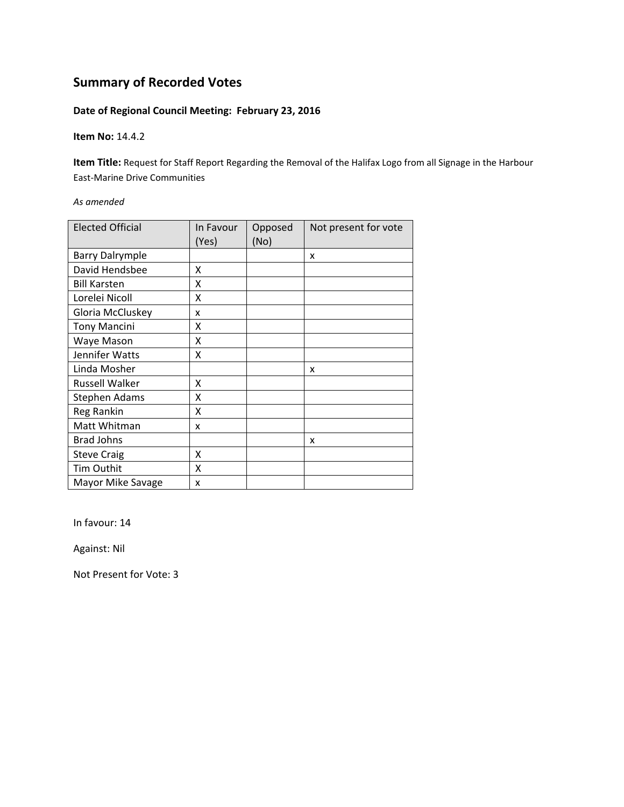#### **Date of Regional Council Meeting: February 23, 2016**

**Item No:** 14.4.2

**Item Title:** Request for Staff Report Regarding the Removal of the Halifax Logo from all Signage in the Harbour East‐Marine Drive Communities

*As amended*

| <b>Elected Official</b> | In Favour<br>(Yes) | Opposed<br>(No) | Not present for vote |
|-------------------------|--------------------|-----------------|----------------------|
| <b>Barry Dalrymple</b>  |                    |                 | x                    |
| David Hendsbee          | x                  |                 |                      |
| <b>Bill Karsten</b>     | x                  |                 |                      |
| Lorelei Nicoll          | X                  |                 |                      |
| Gloria McCluskey        | x                  |                 |                      |
| <b>Tony Mancini</b>     | X                  |                 |                      |
| Waye Mason              | Χ                  |                 |                      |
| Jennifer Watts          | Χ                  |                 |                      |
| Linda Mosher            |                    |                 | x                    |
| <b>Russell Walker</b>   | x                  |                 |                      |
| <b>Stephen Adams</b>    | Χ                  |                 |                      |
| <b>Reg Rankin</b>       | Χ                  |                 |                      |
| Matt Whitman            | x                  |                 |                      |
| <b>Brad Johns</b>       |                    |                 | x                    |
| <b>Steve Craig</b>      | X                  |                 |                      |
| Tim Outhit              | X                  |                 |                      |
| Mayor Mike Savage       | x                  |                 |                      |

In favour: 14

Against: Nil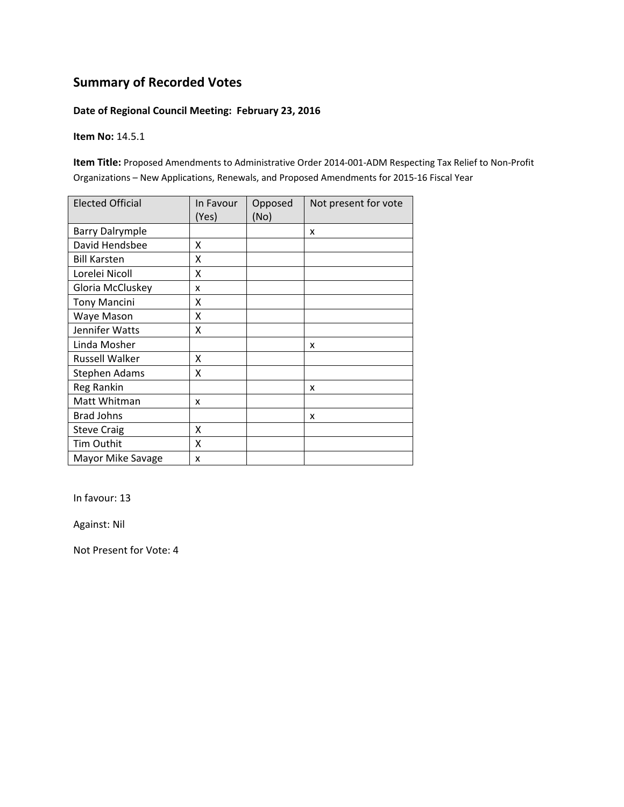#### **Date of Regional Council Meeting: February 23, 2016**

**Item No:** 14.5.1

**Item Title:** Proposed Amendments to Administrative Order 2014‐001‐ADM Respecting Tax Relief to Non‐Profit Organizations – New Applications, Renewals, and Proposed Amendments for 2015‐16 Fiscal Year

| <b>Elected Official</b> | In Favour<br>(Yes) | Opposed<br>(No) | Not present for vote |
|-------------------------|--------------------|-----------------|----------------------|
| <b>Barry Dalrymple</b>  |                    |                 | x                    |
| David Hendsbee          | x                  |                 |                      |
| <b>Bill Karsten</b>     | X                  |                 |                      |
| Lorelei Nicoll          | X                  |                 |                      |
| Gloria McCluskey        | x                  |                 |                      |
| <b>Tony Mancini</b>     | X                  |                 |                      |
| Waye Mason              | Χ                  |                 |                      |
| Jennifer Watts          | Χ                  |                 |                      |
| Linda Mosher            |                    |                 | X                    |
| <b>Russell Walker</b>   | X                  |                 |                      |
| <b>Stephen Adams</b>    | Χ                  |                 |                      |
| Reg Rankin              |                    |                 | x                    |
| Matt Whitman            | x                  |                 |                      |
| <b>Brad Johns</b>       |                    |                 | x                    |
| <b>Steve Craig</b>      | X                  |                 |                      |
| Tim Outhit              | X                  |                 |                      |
| Mayor Mike Savage       | x                  |                 |                      |

In favour: 13

Against: Nil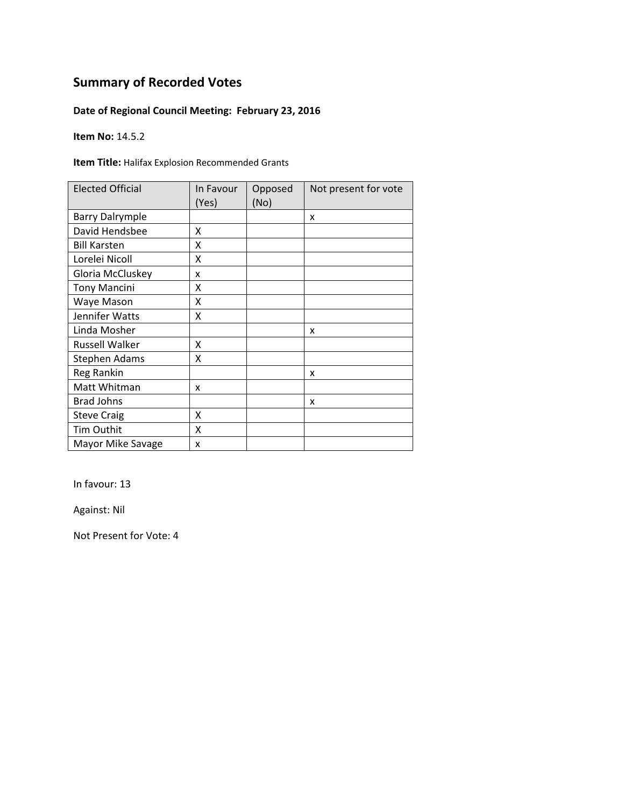### **Date of Regional Council Meeting: February 23, 2016**

**Item No:** 14.5.2

**Item Title:** Halifax Explosion Recommended Grants

| <b>Elected Official</b> | In Favour<br>(Yes) | Opposed<br>(No) | Not present for vote |
|-------------------------|--------------------|-----------------|----------------------|
| <b>Barry Dalrymple</b>  |                    |                 | X                    |
| David Hendsbee          | x                  |                 |                      |
| <b>Bill Karsten</b>     | x                  |                 |                      |
| Lorelei Nicoll          | X                  |                 |                      |
| Gloria McCluskey        | x                  |                 |                      |
| <b>Tony Mancini</b>     | x                  |                 |                      |
| Waye Mason              | Χ                  |                 |                      |
| Jennifer Watts          | x                  |                 |                      |
| Linda Mosher            |                    |                 | x                    |
| <b>Russell Walker</b>   | x                  |                 |                      |
| <b>Stephen Adams</b>    | x                  |                 |                      |
| Reg Rankin              |                    |                 | x                    |
| Matt Whitman            | x                  |                 |                      |
| <b>Brad Johns</b>       |                    |                 | x                    |
| <b>Steve Craig</b>      | x                  |                 |                      |
| <b>Tim Outhit</b>       | X                  |                 |                      |
| Mayor Mike Savage       | X                  |                 |                      |

In favour: 13

Against: Nil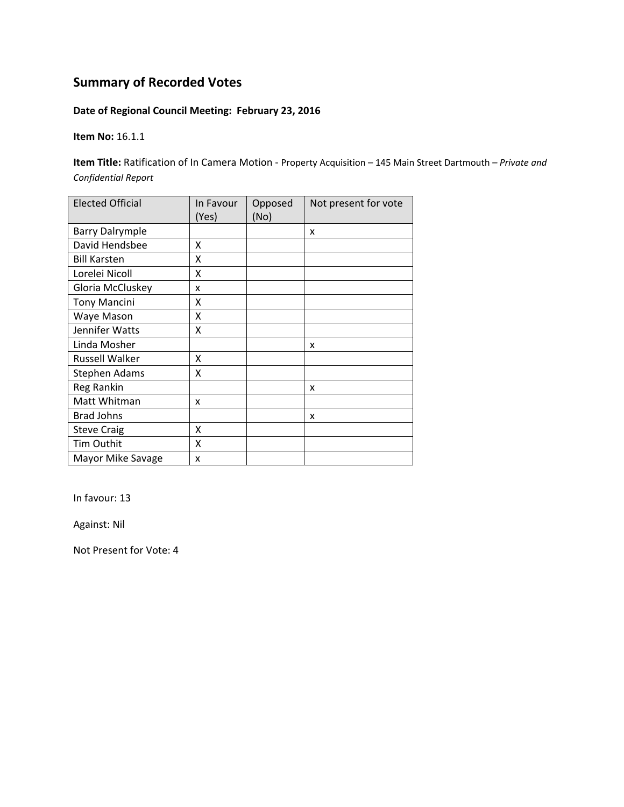### **Date of Regional Council Meeting: February 23, 2016**

**Item No:** 16.1.1

**Item Title:** Ratification of In Camera Motion ‐ Property Acquisition – 145 Main Street Dartmouth *– Private and Confidential Report*

| <b>Elected Official</b> | In Favour<br>(Yes) | Opposed<br>(No) | Not present for vote |
|-------------------------|--------------------|-----------------|----------------------|
| <b>Barry Dalrymple</b>  |                    |                 | x                    |
| David Hendsbee          | x                  |                 |                      |
| <b>Bill Karsten</b>     | x                  |                 |                      |
| Lorelei Nicoll          | X                  |                 |                      |
| Gloria McCluskey        | x                  |                 |                      |
| <b>Tony Mancini</b>     | Χ                  |                 |                      |
| Waye Mason              | x                  |                 |                      |
| Jennifer Watts          | Χ                  |                 |                      |
| Linda Mosher            |                    |                 | X                    |
| <b>Russell Walker</b>   | x                  |                 |                      |
| Stephen Adams           | x                  |                 |                      |
| <b>Reg Rankin</b>       |                    |                 | x                    |
| Matt Whitman            | x                  |                 |                      |
| <b>Brad Johns</b>       |                    |                 | x                    |
| <b>Steve Craig</b>      | X                  |                 |                      |
| Tim Outhit              | X                  |                 |                      |
| Mayor Mike Savage       | x                  |                 |                      |

In favour: 13

Against: Nil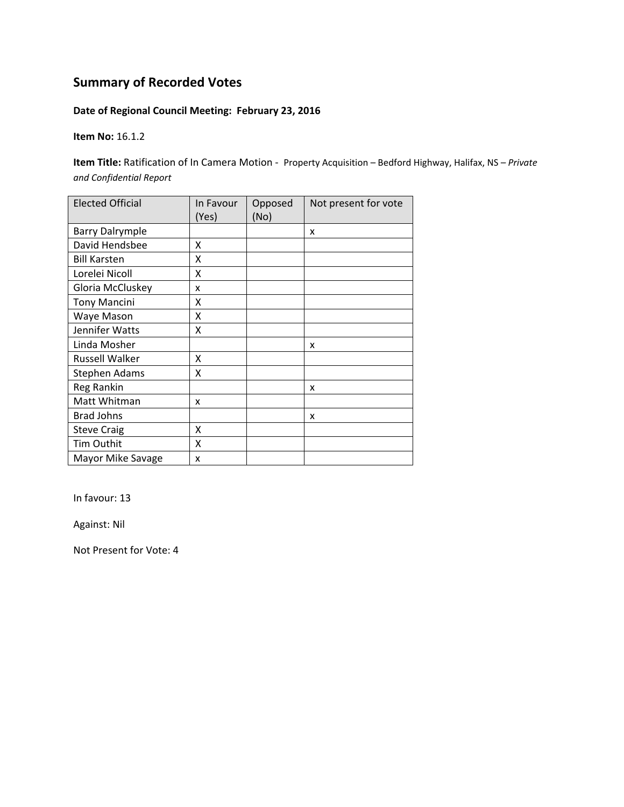### **Date of Regional Council Meeting: February 23, 2016**

**Item No:** 16.1.2

**Item Title:** Ratification of In Camera Motion ‐ Property Acquisition – Bedford Highway, Halifax, NS *– Private and Confidential Report*

| <b>Elected Official</b> | In Favour<br>(Yes) | Opposed<br>(No) | Not present for vote |
|-------------------------|--------------------|-----------------|----------------------|
| <b>Barry Dalrymple</b>  |                    |                 | X                    |
| David Hendsbee          | x                  |                 |                      |
| <b>Bill Karsten</b>     | X                  |                 |                      |
| Lorelei Nicoll          | X                  |                 |                      |
| Gloria McCluskey        | x                  |                 |                      |
| <b>Tony Mancini</b>     | χ                  |                 |                      |
| Waye Mason              | X                  |                 |                      |
| Jennifer Watts          | Χ                  |                 |                      |
| Linda Mosher            |                    |                 | x                    |
| <b>Russell Walker</b>   | X                  |                 |                      |
| <b>Stephen Adams</b>    | x                  |                 |                      |
| Reg Rankin              |                    |                 | x                    |
| Matt Whitman            | x                  |                 |                      |
| <b>Brad Johns</b>       |                    |                 | x                    |
| <b>Steve Craig</b>      | X                  |                 |                      |
| Tim Outhit              | X                  |                 |                      |
| Mayor Mike Savage       | x                  |                 |                      |

In favour: 13

Against: Nil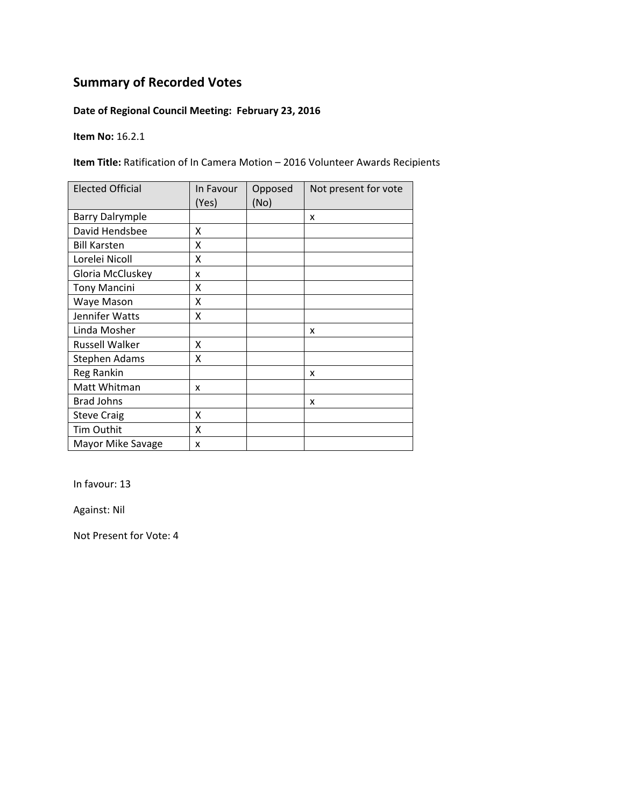### **Date of Regional Council Meeting: February 23, 2016**

**Item No:** 16.2.1

**Item Title:** Ratification of In Camera Motion – 2016 Volunteer Awards Recipients

| <b>Elected Official</b> | In Favour<br>(Yes) | Opposed<br>(No) | Not present for vote |
|-------------------------|--------------------|-----------------|----------------------|
| <b>Barry Dalrymple</b>  |                    |                 | X                    |
| David Hendsbee          | x                  |                 |                      |
| <b>Bill Karsten</b>     | x                  |                 |                      |
| Lorelei Nicoll          | X                  |                 |                      |
| Gloria McCluskey        | x                  |                 |                      |
| <b>Tony Mancini</b>     | X                  |                 |                      |
| Waye Mason              | Χ                  |                 |                      |
| Jennifer Watts          | X                  |                 |                      |
| Linda Mosher            |                    |                 | x                    |
| <b>Russell Walker</b>   | x                  |                 |                      |
| <b>Stephen Adams</b>    | x                  |                 |                      |
| Reg Rankin              |                    |                 | x                    |
| Matt Whitman            | x                  |                 |                      |
| <b>Brad Johns</b>       |                    |                 | x                    |
| <b>Steve Craig</b>      | X                  |                 |                      |
| Tim Outhit              | Χ                  |                 |                      |
| Mayor Mike Savage       | X                  |                 |                      |

In favour: 13

Against: Nil